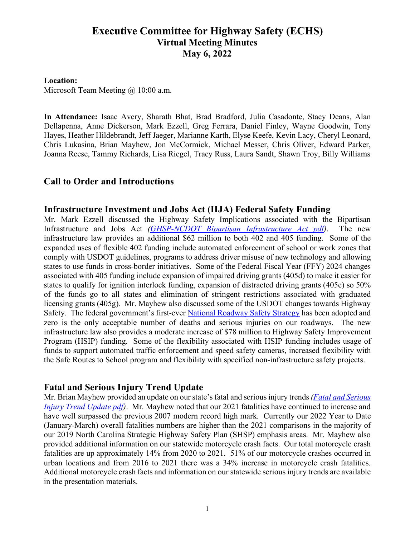# **Executive Committee for Highway Safety (ECHS) Virtual Meeting Minutes May 6, 2022**

#### **Location:**

Microsoft Team Meeting @ 10:00 a.m.

**In Attendance:** Isaac Avery, Sharath Bhat, Brad Bradford, Julia Casadonte, Stacy Deans, Alan Dellapenna, Anne Dickerson, Mark Ezzell, Greg Ferrara, Daniel Finley, Wayne Goodwin, Tony Hayes, Heather Hildebrandt, Jeff Jaeger, Marianne Karth, Elyse Keefe, Kevin Lacy, Cheryl Leonard, Chris Lukasina, Brian Mayhew, Jon McCormick, Michael Messer, Chris Oliver, Edward Parker, Joanna Reese, Tammy Richards, Lisa Riegel, Tracy Russ, Laura Sandt, Shawn Troy, Billy Williams

### **Call to Order and Introductions**

#### **Infrastructure Investment and Jobs Act (IIJA) Federal Safety Funding**

Mr. Mark Ezzell discussed the Highway Safety Implications associated with the Bipartisan Infrastructure and Jobs Act *[\(GHSP-NCDOT Bipartisan Infrastructure Act pdf\)](https://connect.ncdot.gov/groups/echs/Documents/2022/GHSP-NCDOT%20Bipartisan%20Infrastructure%20Act%20(5-6-22).pdf)*. The new infrastructure law provides an additional \$62 million to both 402 and 405 funding. Some of the expanded uses of flexible 402 funding include automated enforcement of school or work zones that comply with USDOT guidelines, programs to address driver misuse of new technology and allowing states to use funds in cross-border initiatives. Some of the Federal Fiscal Year (FFY) 2024 changes associated with 405 funding include expansion of impaired driving grants (405d) to make it easier for states to qualify for ignition interlock funding, expansion of distracted driving grants (405e) so 50% of the funds go to all states and elimination of stringent restrictions associated with graduated licensing grants (405g). Mr. Mayhew also discussed some of the USDOT changes towards Highway Safety. The federal government's first-ever [National Roadway Safety Strategy](https://www.transportation.gov/NRSS) has been adopted and zero is the only acceptable number of deaths and serious injuries on our roadways. The new infrastructure law also provides a moderate increase of \$78 million to Highway Safety Improvement Program (HSIP) funding. Some of the flexibility associated with HSIP funding includes usage of funds to support automated traffic enforcement and speed safety cameras, increased flexibility with the Safe Routes to School program and flexibility with specified non-infrastructure safety projects.

#### **Fatal and Serious Injury Trend Update**

Mr. Brian Mayhew provided an update on our state's fatal and serious injury trends *[\(Fatal and Serious](https://connect.ncdot.gov/groups/echs/Documents/2022/Fatal%20and%20Serious%20Injury%20Trend%20Update%20(5-6-22).pdf)  [Injury Trend Update pdf\)](https://connect.ncdot.gov/groups/echs/Documents/2022/Fatal%20and%20Serious%20Injury%20Trend%20Update%20(5-6-22).pdf)*. Mr. Mayhew noted that our 2021 fatalities have continued to increase and have well surpassed the previous 2007 modern record high mark. Currently our 2022 Year to Date (January-March) overall fatalities numbers are higher than the 2021 comparisons in the majority of our 2019 North Carolina Strategic Highway Safety Plan (SHSP) emphasis areas. Mr. Mayhew also provided additional information on our statewide motorcycle crash facts. Our total motorcycle crash fatalities are up approximately 14% from 2020 to 2021. 51% of our motorcycle crashes occurred in urban locations and from 2016 to 2021 there was a 34% increase in motorcycle crash fatalities. Additional motorcycle crash facts and information on our statewide serious injury trends are available in the presentation materials.